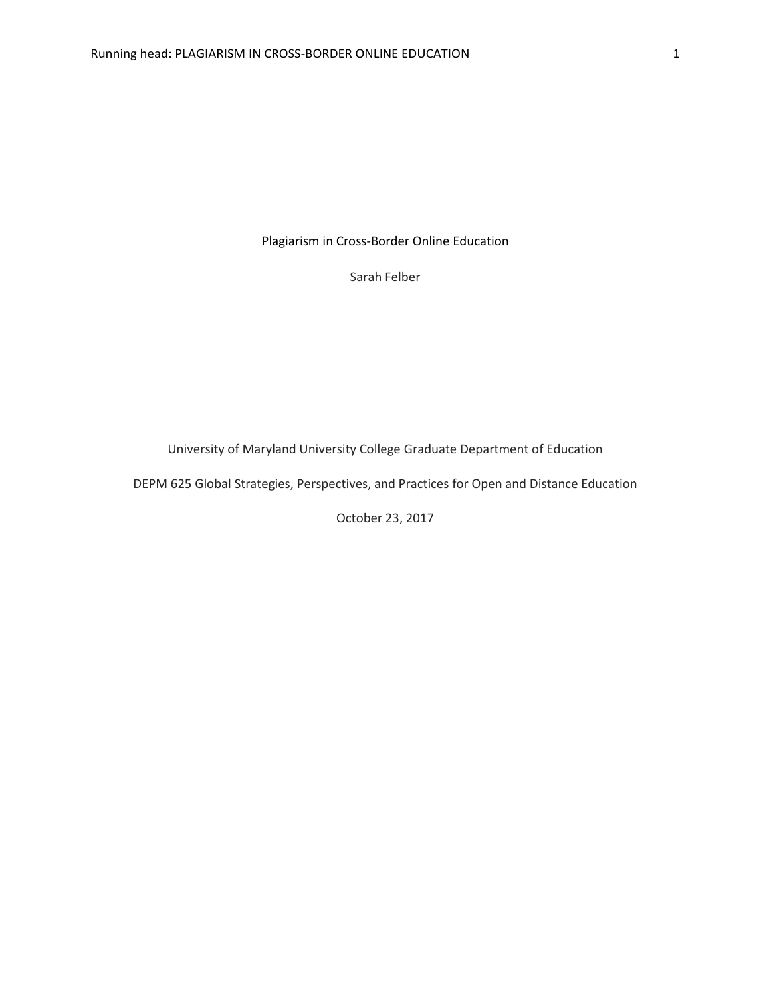Plagiarism in Cross-Border Online Education

Sarah Felber

University of Maryland University College Graduate Department of Education

DEPM 625 Global Strategies, Perspectives, and Practices for Open and Distance Education

October 23, 2017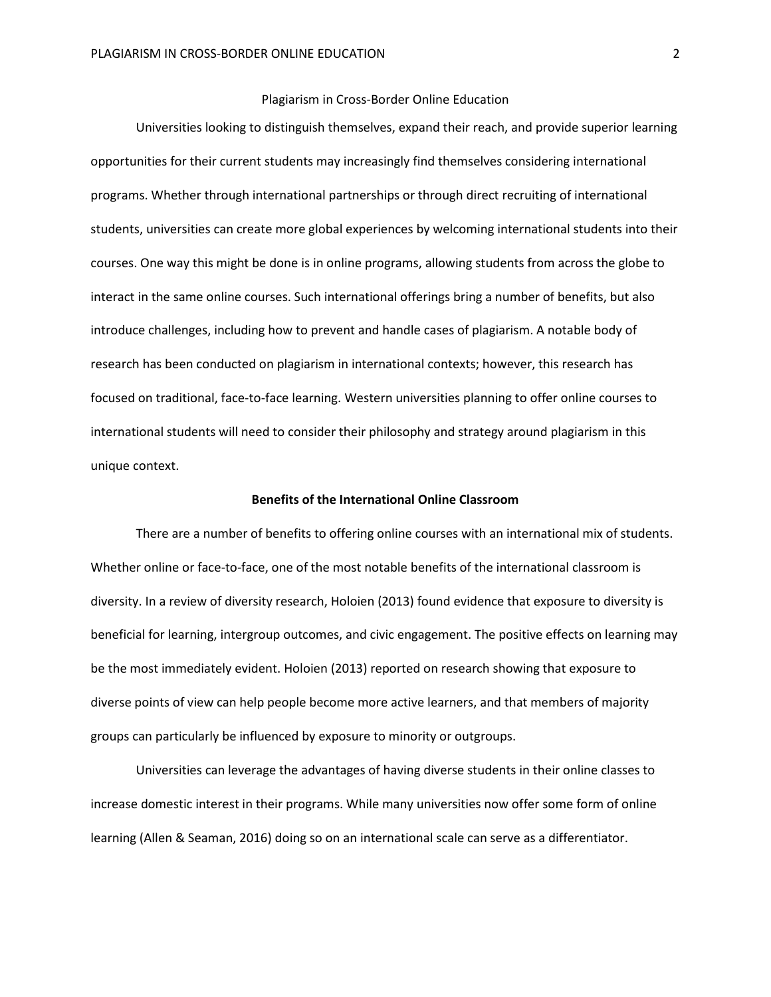## Plagiarism in Cross-Border Online Education

Universities looking to distinguish themselves, expand their reach, and provide superior learning opportunities for their current students may increasingly find themselves considering international programs. Whether through international partnerships or through direct recruiting of international students, universities can create more global experiences by welcoming international students into their courses. One way this might be done is in online programs, allowing students from across the globe to interact in the same online courses. Such international offerings bring a number of benefits, but also introduce challenges, including how to prevent and handle cases of plagiarism. A notable body of research has been conducted on plagiarism in international contexts; however, this research has focused on traditional, face-to-face learning. Western universities planning to offer online courses to international students will need to consider their philosophy and strategy around plagiarism in this unique context.

### **Benefits of the International Online Classroom**

There are a number of benefits to offering online courses with an international mix of students. Whether online or face-to-face, one of the most notable benefits of the international classroom is diversity. In a review of diversity research, Holoien (2013) found evidence that exposure to diversity is beneficial for learning, intergroup outcomes, and civic engagement. The positive effects on learning may be the most immediately evident. Holoien (2013) reported on research showing that exposure to diverse points of view can help people become more active learners, and that members of majority groups can particularly be influenced by exposure to minority or outgroups.

Universities can leverage the advantages of having diverse students in their online classes to increase domestic interest in their programs. While many universities now offer some form of online learning (Allen & Seaman, 2016) doing so on an international scale can serve as a differentiator.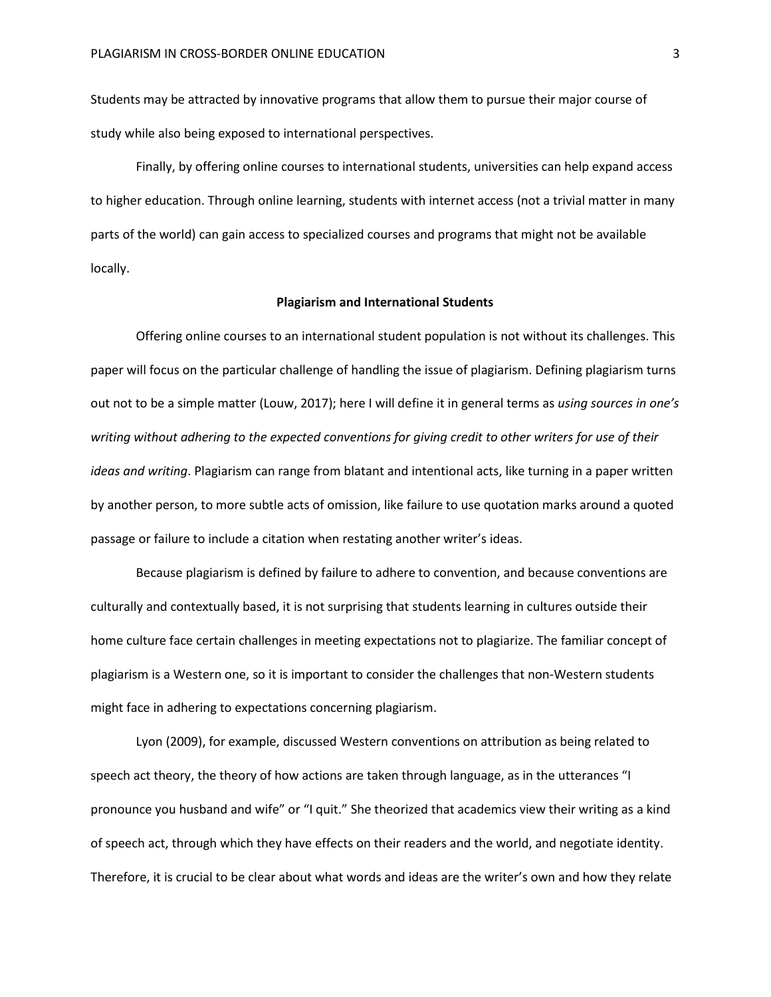Students may be attracted by innovative programs that allow them to pursue their major course of study while also being exposed to international perspectives.

Finally, by offering online courses to international students, universities can help expand access to higher education. Through online learning, students with internet access (not a trivial matter in many parts of the world) can gain access to specialized courses and programs that might not be available locally.

### **Plagiarism and International Students**

Offering online courses to an international student population is not without its challenges. This paper will focus on the particular challenge of handling the issue of plagiarism. Defining plagiarism turns out not to be a simple matter (Louw, 2017); here I will define it in general terms as *using sources in one's writing without adhering to the expected conventions for giving credit to other writers for use of their ideas and writing*. Plagiarism can range from blatant and intentional acts, like turning in a paper written by another person, to more subtle acts of omission, like failure to use quotation marks around a quoted passage or failure to include a citation when restating another writer's ideas.

Because plagiarism is defined by failure to adhere to convention, and because conventions are culturally and contextually based, it is not surprising that students learning in cultures outside their home culture face certain challenges in meeting expectations not to plagiarize. The familiar concept of plagiarism is a Western one, so it is important to consider the challenges that non-Western students might face in adhering to expectations concerning plagiarism.

Lyon (2009), for example, discussed Western conventions on attribution as being related to speech act theory, the theory of how actions are taken through language, as in the utterances "I pronounce you husband and wife" or "I quit." She theorized that academics view their writing as a kind of speech act, through which they have effects on their readers and the world, and negotiate identity. Therefore, it is crucial to be clear about what words and ideas are the writer's own and how they relate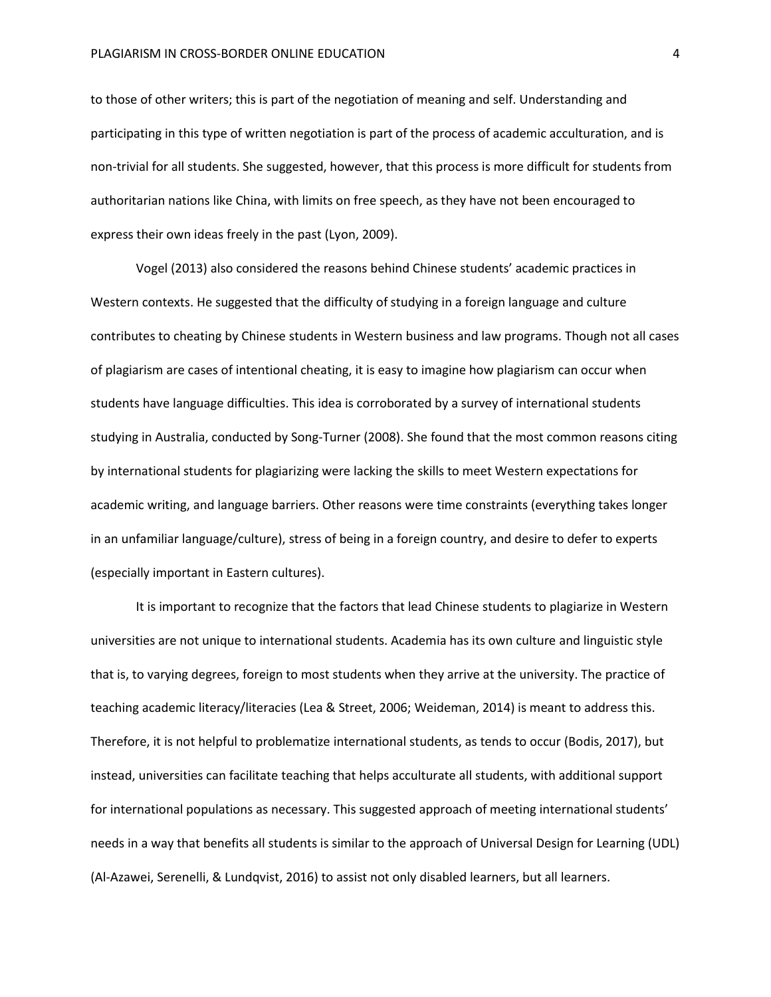to those of other writers; this is part of the negotiation of meaning and self. Understanding and participating in this type of written negotiation is part of the process of academic acculturation, and is non-trivial for all students. She suggested, however, that this process is more difficult for students from authoritarian nations like China, with limits on free speech, as they have not been encouraged to express their own ideas freely in the past (Lyon, 2009).

Vogel (2013) also considered the reasons behind Chinese students' academic practices in Western contexts. He suggested that the difficulty of studying in a foreign language and culture contributes to cheating by Chinese students in Western business and law programs. Though not all cases of plagiarism are cases of intentional cheating, it is easy to imagine how plagiarism can occur when students have language difficulties. This idea is corroborated by a survey of international students studying in Australia, conducted by Song-Turner (2008). She found that the most common reasons citing by international students for plagiarizing were lacking the skills to meet Western expectations for academic writing, and language barriers. Other reasons were time constraints (everything takes longer in an unfamiliar language/culture), stress of being in a foreign country, and desire to defer to experts (especially important in Eastern cultures).

It is important to recognize that the factors that lead Chinese students to plagiarize in Western universities are not unique to international students. Academia has its own culture and linguistic style that is, to varying degrees, foreign to most students when they arrive at the university. The practice of teaching academic literacy/literacies (Lea & Street, 2006; Weideman, 2014) is meant to address this. Therefore, it is not helpful to problematize international students, as tends to occur (Bodis, 2017), but instead, universities can facilitate teaching that helps acculturate all students, with additional support for international populations as necessary. This suggested approach of meeting international students' needs in a way that benefits all students is similar to the approach of Universal Design for Learning (UDL) (Al-Azawei, Serenelli, & Lundqvist, 2016) to assist not only disabled learners, but all learners.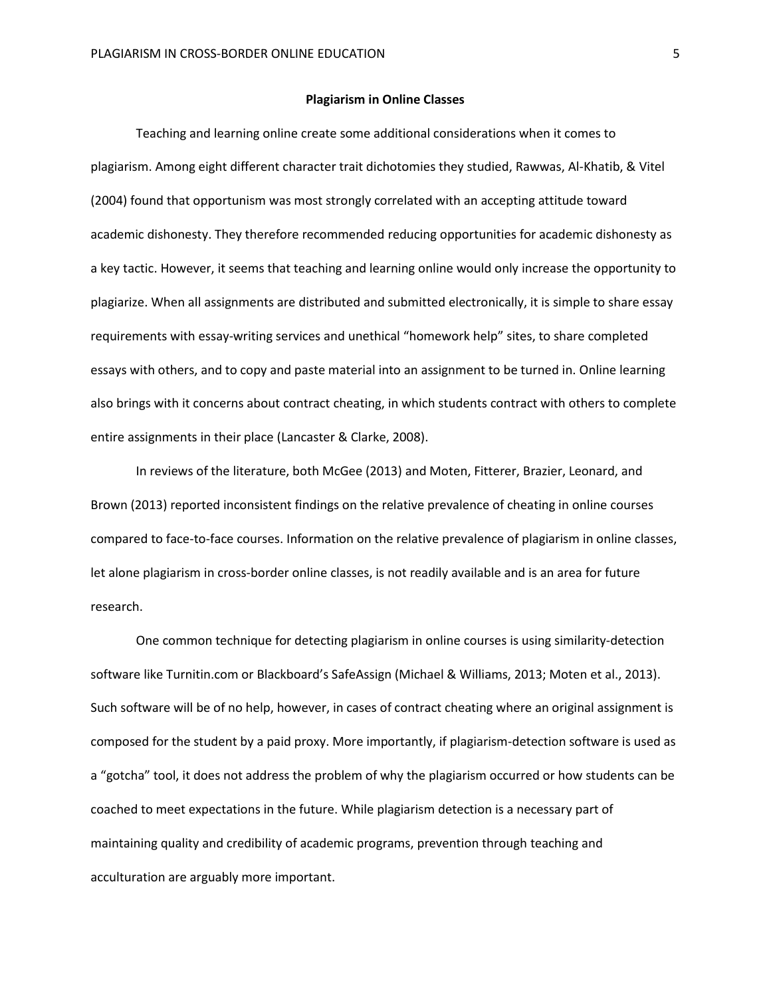### **Plagiarism in Online Classes**

Teaching and learning online create some additional considerations when it comes to plagiarism. Among eight different character trait dichotomies they studied, Rawwas, Al-Khatib, & Vitel (2004) found that opportunism was most strongly correlated with an accepting attitude toward academic dishonesty. They therefore recommended reducing opportunities for academic dishonesty as a key tactic. However, it seems that teaching and learning online would only increase the opportunity to plagiarize. When all assignments are distributed and submitted electronically, it is simple to share essay requirements with essay-writing services and unethical "homework help" sites, to share completed essays with others, and to copy and paste material into an assignment to be turned in. Online learning also brings with it concerns about contract cheating, in which students contract with others to complete entire assignments in their place (Lancaster & Clarke, 2008).

In reviews of the literature, both McGee (2013) and Moten, Fitterer, Brazier, Leonard, and Brown (2013) reported inconsistent findings on the relative prevalence of cheating in online courses compared to face-to-face courses. Information on the relative prevalence of plagiarism in online classes, let alone plagiarism in cross-border online classes, is not readily available and is an area for future research.

One common technique for detecting plagiarism in online courses is using similarity-detection software like Turnitin.com or Blackboard's SafeAssign (Michael & Williams, 2013; Moten et al., 2013). Such software will be of no help, however, in cases of contract cheating where an original assignment is composed for the student by a paid proxy. More importantly, if plagiarism-detection software is used as a "gotcha" tool, it does not address the problem of why the plagiarism occurred or how students can be coached to meet expectations in the future. While plagiarism detection is a necessary part of maintaining quality and credibility of academic programs, prevention through teaching and acculturation are arguably more important.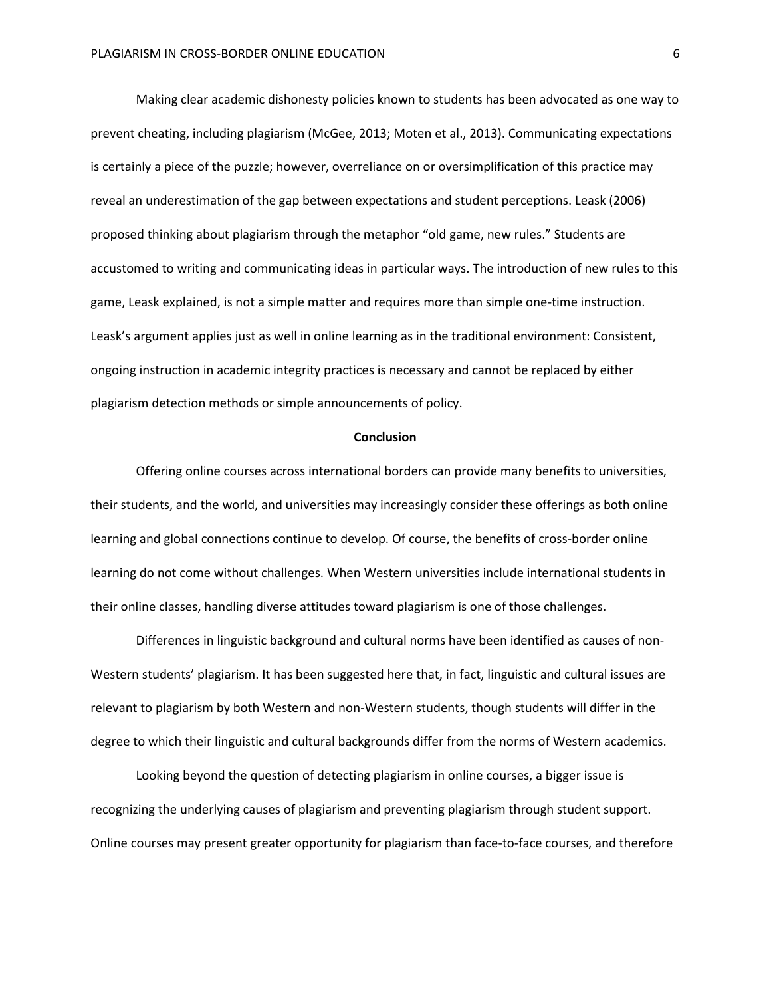Making clear academic dishonesty policies known to students has been advocated as one way to prevent cheating, including plagiarism (McGee, 2013; Moten et al., 2013). Communicating expectations is certainly a piece of the puzzle; however, overreliance on or oversimplification of this practice may reveal an underestimation of the gap between expectations and student perceptions. Leask (2006) proposed thinking about plagiarism through the metaphor "old game, new rules." Students are accustomed to writing and communicating ideas in particular ways. The introduction of new rules to this game, Leask explained, is not a simple matter and requires more than simple one-time instruction. Leask's argument applies just as well in online learning as in the traditional environment: Consistent, ongoing instruction in academic integrity practices is necessary and cannot be replaced by either plagiarism detection methods or simple announcements of policy.

### **Conclusion**

Offering online courses across international borders can provide many benefits to universities, their students, and the world, and universities may increasingly consider these offerings as both online learning and global connections continue to develop. Of course, the benefits of cross-border online learning do not come without challenges. When Western universities include international students in their online classes, handling diverse attitudes toward plagiarism is one of those challenges.

Differences in linguistic background and cultural norms have been identified as causes of non-Western students' plagiarism. It has been suggested here that, in fact, linguistic and cultural issues are relevant to plagiarism by both Western and non-Western students, though students will differ in the degree to which their linguistic and cultural backgrounds differ from the norms of Western academics.

Looking beyond the question of detecting plagiarism in online courses, a bigger issue is recognizing the underlying causes of plagiarism and preventing plagiarism through student support. Online courses may present greater opportunity for plagiarism than face-to-face courses, and therefore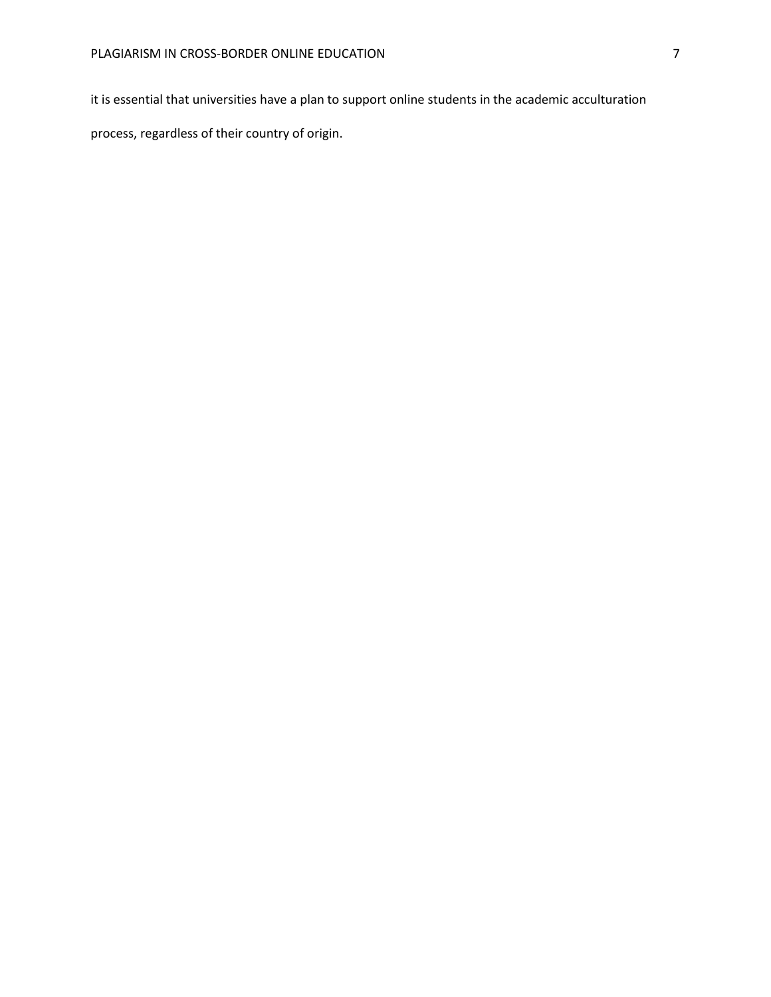it is essential that universities have a plan to support online students in the academic acculturation

process, regardless of their country of origin.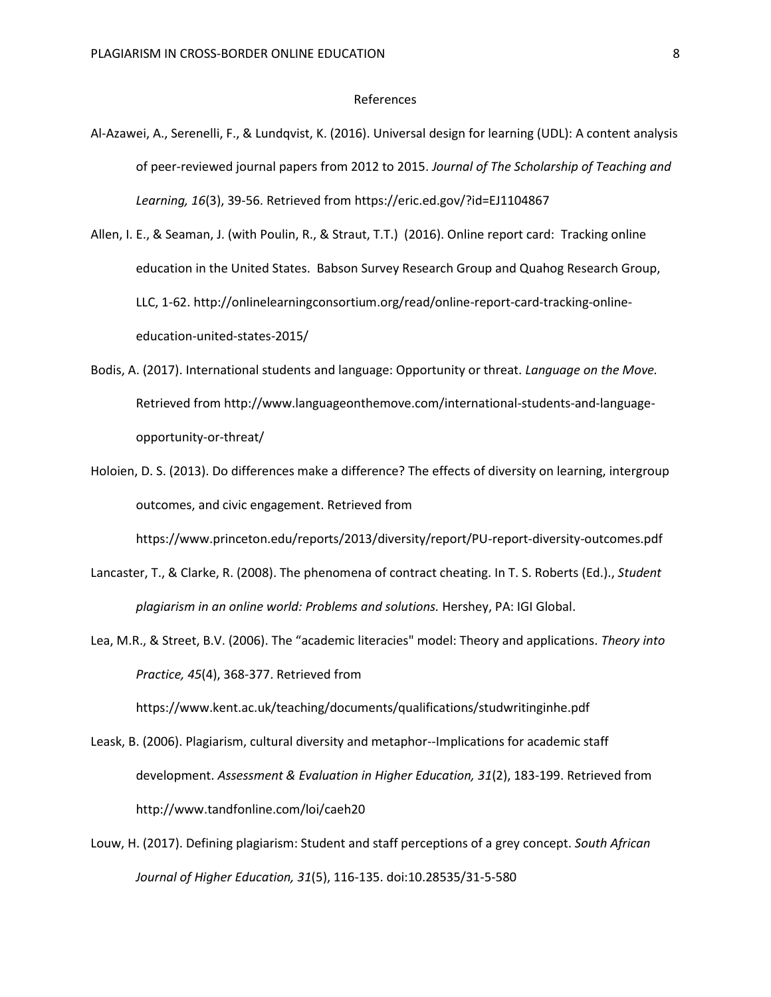#### References

Al-Azawei, A., Serenelli, F., & Lundqvist, K. (2016). Universal design for learning (UDL): A content analysis of peer-reviewed journal papers from 2012 to 2015. *Journal of The Scholarship of Teaching and Learning, 16*(3), 39-56. Retrieved from https://eric.ed.gov/?id=EJ1104867

Allen, I. E., & Seaman, J. (with Poulin, R., & Straut, T.T.) (2016). Online report card: Tracking online education in the United States. Babson Survey Research Group and Quahog Research Group, LLC, 1-62. http://onlinelearningconsortium.org/read/online-report-card-tracking-onlineeducation-united-states-2015/

- Bodis, A. (2017). International students and language: Opportunity or threat. *Language on the Move.* Retrieved from http://www.languageonthemove.com/international-students-and-languageopportunity-or-threat/
- Holoien, D. S. (2013). Do differences make a difference? The effects of diversity on learning, intergroup outcomes, and civic engagement. Retrieved from

https://www.princeton.edu/reports/2013/diversity/report/PU-report-diversity-outcomes.pdf

- Lancaster, T., & Clarke, R. (2008). The phenomena of contract cheating. In T. S. Roberts (Ed.)., *Student plagiarism in an online world: Problems and solutions.* Hershey, PA: IGI Global.
- Lea, M.R., & Street, B.V. (2006). The "academic literacies" model: Theory and applications. *Theory into Practice, 45*(4), 368-377. Retrieved from

https://www.kent.ac.uk/teaching/documents/qualifications/studwritinginhe.pdf

- Leask, B. (2006). Plagiarism, cultural diversity and metaphor--Implications for academic staff development. *Assessment & Evaluation in Higher Education, 31*(2), 183-199. Retrieved from http://www.tandfonline.com/loi/caeh20
- Louw, H. (2017). Defining plagiarism: Student and staff perceptions of a grey concept. *South African Journal of Higher Education, 31*(5), 116-135. doi:10.28535/31-5-580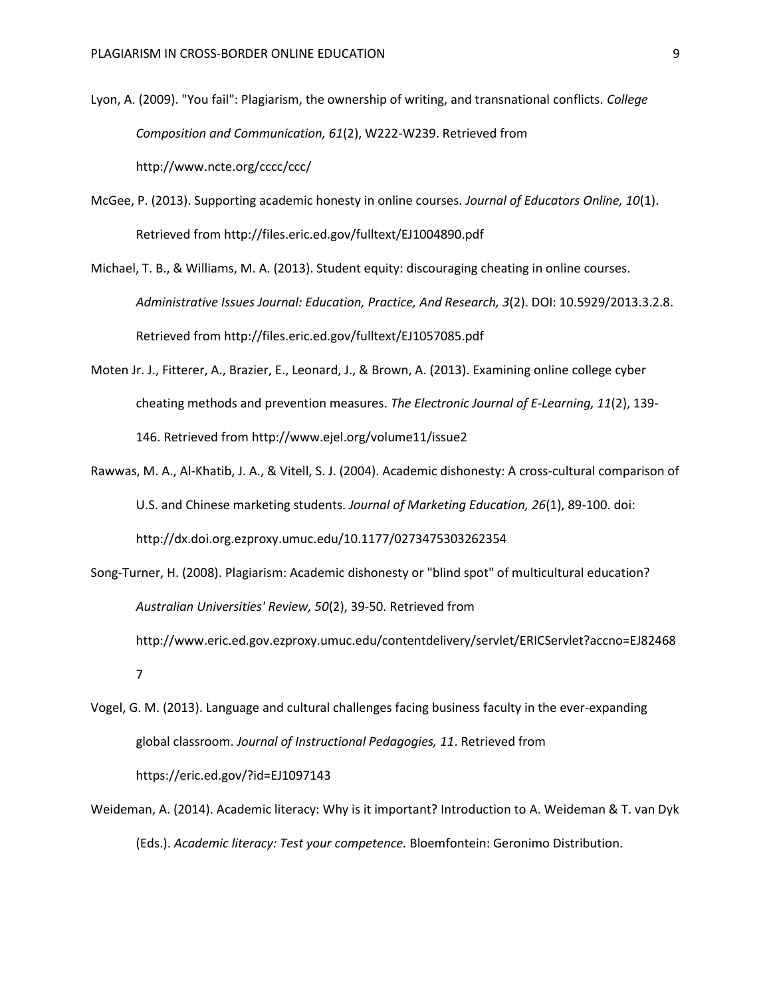- Lyon, A. (2009). "You fail": Plagiarism, the ownership of writing, and transnational conflicts. *College Composition and Communication, 61*(2), W222-W239. Retrieved from http://www.ncte.org/cccc/ccc/
- McGee, P. (2013). Supporting academic honesty in online courses. *Journal of Educators Online, 10*(1). Retrieved from http://files.eric.ed.gov/fulltext/EJ1004890.pdf
- Michael, T. B., & Williams, M. A. (2013). Student equity: discouraging cheating in online courses. *Administrative Issues Journal: Education, Practice, And Research, 3*(2). DOI: 10.5929/2013.3.2.8. Retrieved from http://files.eric.ed.gov/fulltext/EJ1057085.pdf
- Moten Jr. J., Fitterer, A., Brazier, E., Leonard, J., & Brown, A. (2013). Examining online college cyber cheating methods and prevention measures. *The Electronic Journal of E-Learning, 11*(2), 139- 146. Retrieved from http://www.ejel.org/volume11/issue2
- Rawwas, M. A., Al-Khatib, J. A., & Vitell, S. J. (2004). Academic dishonesty: A cross-cultural comparison of U.S. and Chinese marketing students. *Journal of Marketing Education, 26*(1), 89-100. doi: http://dx.doi.org.ezproxy.umuc.edu/10.1177/0273475303262354
- Song-Turner, H. (2008). Plagiarism: Academic dishonesty or "blind spot" of multicultural education? *Australian Universities' Review, 50*(2), 39-50. Retrieved from http://www.eric.ed.gov.ezproxy.umuc.edu/contentdelivery/servlet/ERICServlet?accno=EJ82468 7
- Vogel, G. M. (2013). Language and cultural challenges facing business faculty in the ever-expanding global classroom. *Journal of Instructional Pedagogies, 11*. Retrieved from https://eric.ed.gov/?id=EJ1097143
- Weideman, A. (2014). Academic literacy: Why is it important? Introduction to A. Weideman & T. van Dyk (Eds.). *Academic literacy: Test your competence.* Bloemfontein: Geronimo Distribution.